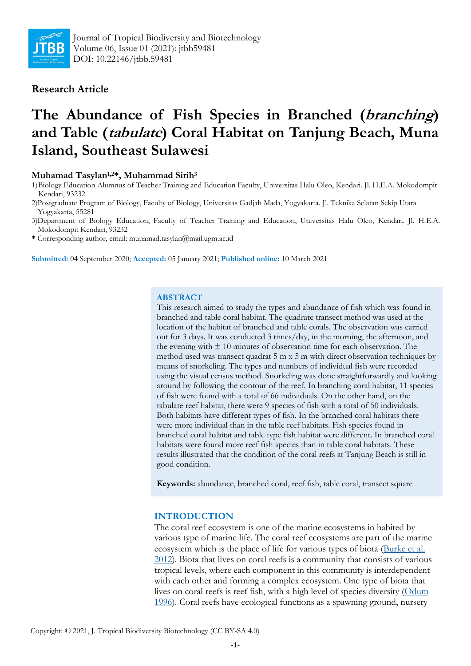

## **Research Article**

# **The Abundance of Fish Species in Branched (branching) and Table (tabulate) Coral Habitat on Tanjung Beach, Muna Island, Southeast Sulawesi**

## **Muhamad Tasylan1,2\*, Muhammad Sirih<sup>3</sup>**

- 2)Postgraduate Program of Biology, Faculty of Biology, Universitas Gadjah Mada, Yogyakarta. Jl. Teknika Selatan Sekip Utara Yogyakarta, 55281
- 3)Department of Biology Education, Faculty of Teacher Training and Education, Universitas Halu Oleo, Kendari. Jl. H.E.A. Mokodompit Kendari, 93232
- **\*** Corresponding author, email: muhamad.tasylan@mail.ugm.ac.id

**Submitted:** 04 September 2020; **Accepted:** 05 January 2021; **Published online:** 10 March 2021

#### **ABSTRACT**

This research aimed to study the types and abundance of fish which was found in branched and table coral habitat. The quadrate transect method was used at the location of the habitat of branched and table corals. The observation was carried out for 3 days. It was conducted 3 times/day, in the morning, the afternoon, and the evening with  $\pm 10$  minutes of observation time for each observation. The method used was transect quadrat 5 m x 5 m with direct observation techniques by means of snorkeling. The types and numbers of individual fish were recorded using the visual census method. Snorkeling was done straightforwardly and looking around by following the contour of the reef. In branching coral habitat, 11 species of fish were found with a total of 66 individuals. On the other hand, on the tabulate reef habitat, there were 9 species of fish with a total of 50 individuals. Both habitats have different types of fish. In the branched coral habitats there were more individual than in the table reef habitats. Fish species found in branched coral habitat and table type fish habitat were different. In branched coral habitats were found more reef fish species than in table coral habitats. These results illustrated that the condition of the coral reefs at Tanjung Beach is still in good condition.

**Keywords:** abundance, branched coral, reef fish, table coral, transect square

## **INTRODUCTION**

The coral reef ecosystem is one of the marine ecosystems in habited by various type of marine life. The coral reef ecosystems are part of the marine ecosystem which is the place of life for various types of biota ([Burke et al.](#page-5-0)  [2012\)](#page-5-0). Biota that lives on coral reefs is a community that consists of various tropical levels, where each component in this community is interdependent with each other and forming a complex ecosystem. One type of biota that lives on coral reefs is reef fish, with a high level of species diversity [\(Odum](#page-6-0)  [1996\)](#page-6-0). Coral reefs have ecological functions as a spawning ground, nursery

<sup>1)</sup>Biology Education Alumnus of Teacher Training and Education Faculty, Universitas Halu Oleo, Kendari. Jl. H.E.A. Mokodompit Kendari, 93232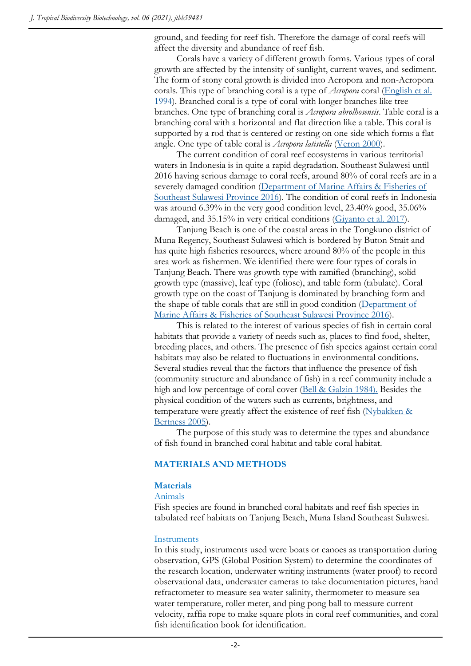ground, and feeding for reef fish. Therefore the damage of coral reefs will affect the diversity and abundance of reef fish.

Corals have a variety of different growth forms. Various types of coral growth are affected by the intensity of sunlight, current waves, and sediment. The form of stony coral growth is divided into Acropora and non-Acropora corals. This type of branching coral is a type of *Acropora* coral ([English et al.](#page-6-0)  [1994\)](#page-6-0). Branched coral is a type of coral with longer branches like tree branches. One type of branching coral is *Acropora abrolhosensis*. Table coral is a branching coral with a horizontal and flat direction like a table. This coral is supported by a rod that is centered or resting on one side which forms a flat angle. One type of table coral is *Acropora latistella* ([Veron 2000\)](#page-6-0).

The current condition of coral reef ecosystems in various territorial waters in Indonesia is in quite a rapid degradation. Southeast Sulawesi until 2016 having serious damage to coral reefs, around 80% of coral reefs are in a severely damaged condition (Department of Marine Affairs & Fisheries of [Southeast Sulawesi Province 2016\)](#page-5-0). The condition of coral reefs in Indonesia was around 6.39% in the very good condition level, 23.40% good, 35.06% damaged, and 35.15% in very critical conditions ([Giyanto et al. 2017\)](#page-6-0).

Tanjung Beach is one of the coastal areas in the Tongkuno district of Muna Regency, Southeast Sulawesi which is bordered by Buton Strait and has quite high fisheries resources, where around 80% of the people in this area work as fishermen. We identified there were four types of corals in Tanjung Beach. There was growth type with ramified (branching), solid growth type (massive), leaf type (foliose), and table form (tabulate). Coral growth type on the coast of Tanjung is dominated by branching form and the shape of table corals that are still in good condition ([Department of](#page-5-0)  [Marine Affairs & Fisheries of Southeast Sulawesi Province 2016\).](#page-5-0)

This is related to the interest of various species of fish in certain coral habitats that provide a variety of needs such as, places to find food, shelter, breeding places, and others. The presence of fish species against certain coral habitats may also be related to fluctuations in environmental conditions. Several studies reveal that the factors that influence the presence of fish (community structure and abundance of fish) in a reef community include a high and low percentage of coral cover [\(Bell & Galzin 1984\).](#page-5-0) Besides the physical condition of the waters such as currents, brightness, and temperature were greatly affect the existence of reef fish ([Nybakken &](#page-6-0)  [Bertness 2005\).](#page-6-0)

The purpose of this study was to determine the types and abundance of fish found in branched coral habitat and table coral habitat.

## **MATERIALS AND METHODS**

#### **Materials**

#### Animals

Fish species are found in branched coral habitats and reef fish species in tabulated reef habitats on Tanjung Beach, Muna Island Southeast Sulawesi.

#### **Instruments**

In this study, instruments used were boats or canoes as transportation during observation, GPS (Global Position System) to determine the coordinates of the research location, underwater writing instruments (water proof) to record observational data, underwater cameras to take documentation pictures, hand refractometer to measure sea water salinity, thermometer to measure sea water temperature, roller meter, and ping pong ball to measure current velocity, raffia rope to make square plots in coral reef communities, and coral fish identification book for identification.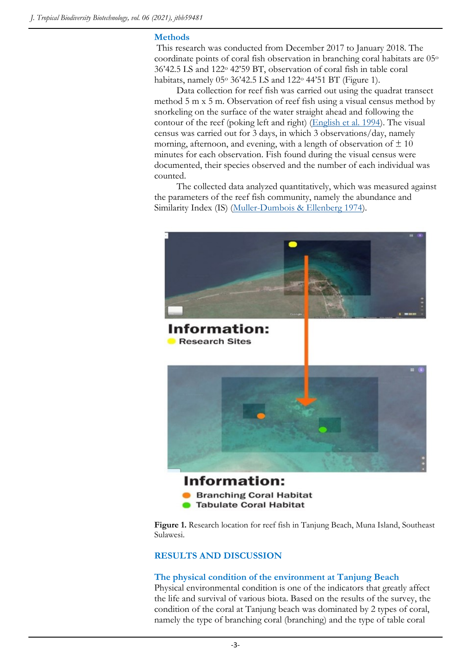#### **Methods**

This research was conducted from December 2017 to January 2018. The coordinate points of coral fish observation in branching coral habitats are 05<sup>o</sup> 36'42.5 LS and 122<sup>o</sup> 42'59 BT, observation of coral fish in table coral habitats, namely 05<sup>o</sup> 36'42.5 LS and 122<sup>o</sup> 44'51 BT (Figure 1).

Data collection for reef fish was carried out using the quadrat transect method 5 m x 5 m. Observation of reef fish using a visual census method by snorkeling on the surface of the water straight ahead and following the contour of the reef (poking left and right) ([English et al. 1994\).](#page-6-0) The visual census was carried out for 3 days, in which 3 observations/day, namely morning, afternoon, and evening, with a length of observation of  $\pm 10$ minutes for each observation. Fish found during the visual census were documented, their species observed and the number of each individual was counted.

The collected data analyzed quantitatively, which was measured against the parameters of the reef fish community, namely the abundance and Similarity Index (IS) ([Muller-Dumbois & Ellenberg 1974\).](#page-6-0)



**Tabulate Coral Habitat** 

**Figure 1.** Research location for reef fish in Tanjung Beach, Muna Island, Southeast Sulawesi.

## **RESULTS AND DISCUSSION**

#### **The physical condition of the environment at Tanjung Beach**

Physical environmental condition is one of the indicators that greatly affect the life and survival of various biota. Based on the results of the survey, the condition of the coral at Tanjung beach was dominated by 2 types of coral, namely the type of branching coral (branching) and the type of table coral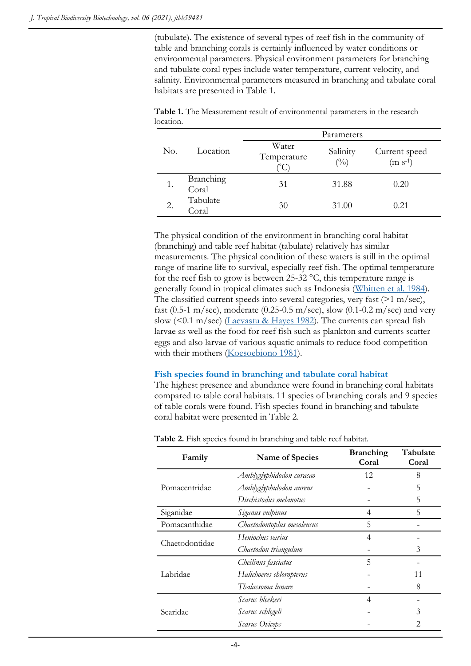(tubulate). The existence of several types of reef fish in the community of table and branching corals is certainly influenced by water conditions or environmental parameters. Physical environment parameters for branching and tubulate coral types include water temperature, current velocity, and salinity. Environmental parameters measured in branching and tabulate coral habitats are presented in Table 1.

|     | Location           | Parameters           |                   |                            |
|-----|--------------------|----------------------|-------------------|----------------------------|
| No. |                    | Water<br>Temperature | Salinity<br>(0/0) | Current speed<br>$(m s-1)$ |
| 1.  | Branching<br>Coral | 31                   | 31.88             | 0.20                       |
| 2.  | Tabulate<br>`oral  | 30                   | 31.00             | 0.21                       |

**Table 1.** The Measurement result of environmental parameters in the research location.

The physical condition of the environment in branching coral habitat (branching) and table reef habitat (tabulate) relatively has similar measurements. The physical condition of these waters is still in the optimal range of marine life to survival, especially reef fish. The optimal temperature for the reef fish to grow is between 25-32 °C, this temperature range is generally found in tropical climates such as Indonesia [\(Whitten et al. 1984\).](#page-6-0) The classified current speeds into several categories, very fast  $(>1 \text{ m/sec})$ , fast (0.5-1 m/sec), moderate (0.25-0.5 m/sec), slow (0.1-0.2 m/sec) and very slow (<0.1 m/sec) [\(Laevastu & Hayes 1982\).](#page-6-0) The currents can spread fish larvae as well as the food for reef fish such as plankton and currents scatter eggs and also larvae of various aquatic animals to reduce food competition with their mothers ([Koesoebiono 1981\).](#page-6-0)

#### **Fish species found in branching and tabulate coral habitat**

The highest presence and abundance were found in branching coral habitats compared to table coral habitats. 11 species of branching corals and 9 species of table corals were found. Fish species found in branching and tabulate coral habitat were presented in Table 2.

| Family         | Name of Species            | <b>Branching</b><br>Coral | Tabulate<br>Coral |
|----------------|----------------------------|---------------------------|-------------------|
|                | Amblyglyphidodon curacao   | 12                        | 8                 |
| Pomacentridae  | Amblyglyphidodon aureus    |                           | 5                 |
|                | Dischistodus melanotus     |                           | 5                 |
| Siganidae      | Siganus vulpinus           | 4                         | 5                 |
| Pomacanthidae  | Chaetodontoplus mesoleucus | 5                         |                   |
| Chaetodontidae | Heniochus varius           | $\overline{4}$            |                   |
|                | Chaetodon triangulum       |                           | 3                 |
|                | Cheilinus fasciatus        | 5                         |                   |
| Labridae       | Halichoeres chloropterus   |                           | 11                |
|                | Thalassoma lunare          |                           | 8                 |
|                | Scarus bleekeri            | $\overline{4}$            |                   |
| Scaridae       | Scarus schlegeli           |                           | 3                 |
|                | Scarus Oviceps             |                           | 2                 |

**Table 2.** Fish species found in branching and table reef habitat.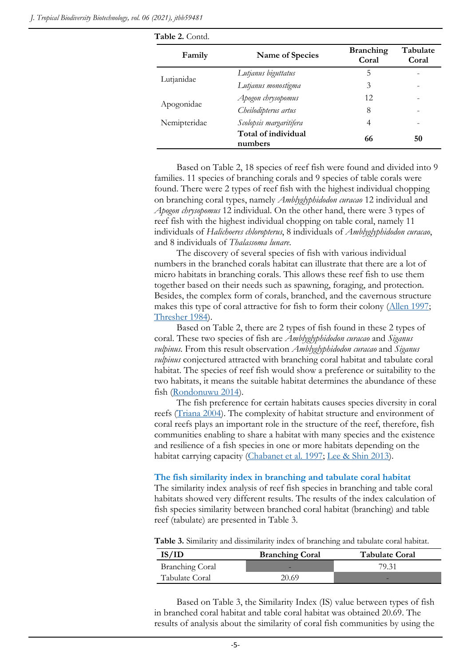| Family       | Name of Species                | <b>Branching</b><br>Coral | Tabulate<br>Coral |
|--------------|--------------------------------|---------------------------|-------------------|
|              | Lutjanus biguttatus            | 5                         |                   |
| Lutjanidae   | Lutjanus monostigma            | 3                         |                   |
|              | Apogon chrysopomus             | 12                        |                   |
| Apogonidae   | Cheilodipterus artus           | 8                         |                   |
| Nemipteridae | Scolopsis margaritifera        | 4                         |                   |
|              | Total of individual<br>numbers | 66                        | 50                |

Based on Table 2, 18 species of reef fish were found and divided into 9 families. 11 species of branching corals and 9 species of table corals were found. There were 2 types of reef fish with the highest individual chopping on branching coral types, namely *Amblyglyphidodon curacao* 12 individual and *Apogon chrysopomus* 12 individual. On the other hand, there were 3 types of reef fish with the highest individual chopping on table coral, namely 11 individuals of *Halichoeres chloropterus*, 8 individuals of *Amblyglyphidodon curacao*, and 8 individuals of *Thalassoma lunare*.

The discovery of several species of fish with various individual numbers in the branched corals habitat can illustrate that there are a lot of micro habitats in branching corals. This allows these reef fish to use them together based on their needs such as spawning, foraging, and protection. Besides, the complex form of corals, branched, and the cavernous structure makes this type of coral attractive for fish to form their colony (Allen 1997; [Thresher 1984\).](#page-6-0)

Based on Table 2, there are 2 types of fish found in these 2 types of coral. These two species of fish are *Amblyglyphidodon curacao* and *Siganus vulpinus.* From this result observation *Amblyglyphidodon curacao* and *Siganus vulpinus* conjectured attracted with branching coral habitat and tabulate coral habitat. The species of reef fish would show a preference or suitability to the two habitats, it means the suitable habitat determines the abundance of these fish ([Rondonuwu 2014\)](#page-6-0).

The fish preference for certain habitats causes species diversity in coral reefs ([Triana 2004\).](#page-6-0) The complexity of habitat structure and environment of coral reefs plays an important role in the structure of the reef, therefore, fish communities enabling to share a habitat with many species and the existence and resilience of a fish species in one or more habitats depending on the habitat carrying capacity ([Chabanet et al. 1997;](#page-5-0) [Lee & Shin 2013\)](#page-6-0).

#### **The fish similarity index in branching and tabulate coral habitat**

The similarity index analysis of reef fish species in branching and table coral habitats showed very different results. The results of the index calculation of fish species similarity between branched coral habitat (branching) and table reef (tabulate) are presented in Table 3.

**Table 3.** Similarity and dissimilarity index of branching and tabulate coral habitat.

| IS/ID                  | <b>Branching Coral</b> | <b>Tabulate Coral</b> |
|------------------------|------------------------|-----------------------|
| <b>Branching Coral</b> |                        | 79.31                 |
| Tabulate Coral         | 20.69                  |                       |

Based on Table 3, the Similarity Index (IS) value between types of fish in branched coral habitat and table coral habitat was obtained 20.69. The results of analysis about the similarity of coral fish communities by using the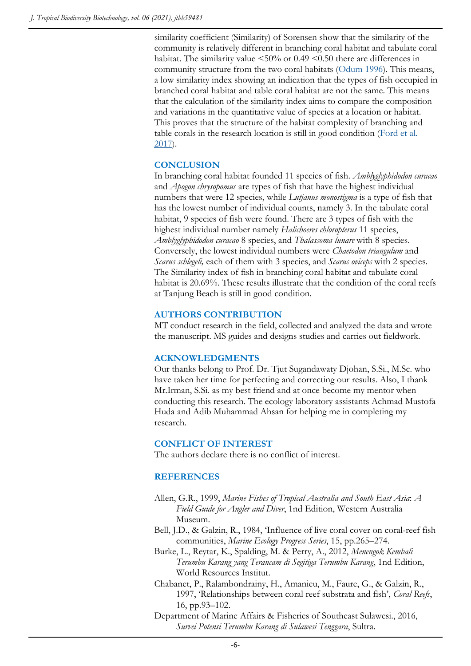<span id="page-5-0"></span>similarity coefficient (Similarity) of Sorensen show that the similarity of the community is relatively different in branching coral habitat and tabulate coral habitat. The similarity value  $\leq 50\%$  or 0.49  $\leq 0.50$  there are differences in community structure from the two coral habitats ([Odum 1996\).](#page-6-0) This means, a low similarity index showing an indication that the types of fish occupied in branched coral habitat and table coral habitat are not the same. This means that the calculation of the similarity index aims to compare the composition and variations in the quantitative value of species at a location or habitat. This proves that the structure of the habitat complexity of branching and table corals in the research location is still in good condition [\(Ford et al](#page-6-0)*.*  [2017\)](#page-6-0).

## **CONCLUSION**

In branching coral habitat founded 11 species of fish. *Amblyglyphidodon curacao*  and *Apogon chrysopomus* are types of fish that have the highest individual numbers that were 12 species, while *Lutjanus monostigma* is a type of fish that has the lowest number of individual counts, namely 3. In the tabulate coral habitat, 9 species of fish were found. There are 3 types of fish with the highest individual number namely *Halichoeres chloropterus* 11 species, *Amblyglyphidodon curacao* 8 species, and *Thalassoma lunare* with 8 species. Conversely, the lowest individual numbers were *Chaetodon triangulum* and *Scarus schlegeli,* each of them with 3 species, and *Scarus oviceps* with 2 species. The Similarity index of fish in branching coral habitat and tabulate coral habitat is 20.69%. These results illustrate that the condition of the coral reefs at Tanjung Beach is still in good condition.

## **AUTHORS CONTRIBUTION**

MT conduct research in the field, collected and analyzed the data and wrote the manuscript. MS guides and designs studies and carries out fieldwork.

## **ACKNOWLEDGMENTS**

Our thanks belong to Prof. Dr. Tjut Sugandawaty Djohan, S.Si., M.Sc. who have taken her time for perfecting and correcting our results. Also, I thank Mr.Irman, S.Si. as my best friend and at once become my mentor when conducting this research. The ecology laboratory assistants Achmad Mustofa Huda and Adib Muhammad Ahsan for helping me in completing my research.

## **CONFLICT OF INTEREST**

The authors declare there is no conflict of interest.

## **REFERENCES**

- Allen, G.R., 1999, *Marine Fishes of Tropical Australia and South East Asia*: *A Field Guide for Angler and Diver*, 1nd Edition, Western Australia Museum.
- Bell, J.D., & Galzin, R., 1984, 'Influence of live coral cover on coral-reef fish communities, *Marine Ecology Progress Series*, 15, pp.265–274.
- Burke, L., Reytar, K., Spalding, M. & Perry, A., 2012, *Menengok Kembali Terumbu Karang yang Terancam di Segitiga Terumbu Karang*, 1nd Edition, World Resources Institut.
- Chabanet, P., Ralambondrainy, H., Amanieu, M., Faure, G., & Galzin, R., 1997, 'Relationships between coral reef substrata and fish', *Coral Reefs*, 16, pp.93–102.

Department of Marine Affairs & Fisheries of Southeast Sulawesi., 2016, *Survei Potensi Terumbu Karang di Sulawesi Tenggara*, Sultra.